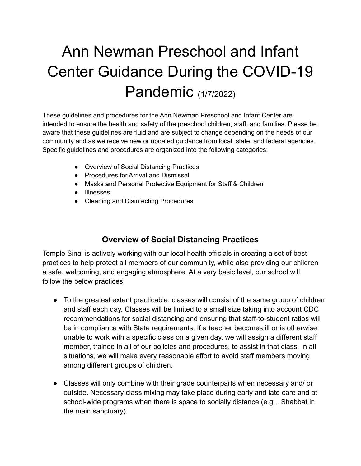# Ann Newman Preschool and Infant Center Guidance During the COVID-19 Pandemic (1/7/2022)

These guidelines and procedures for the Ann Newman Preschool and Infant Center are intended to ensure the health and safety of the preschool children, staff, and families. Please be aware that these guidelines are fluid and are subject to change depending on the needs of our community and as we receive new or updated guidance from local, state, and federal agencies. Specific guidelines and procedures are organized into the following categories:

- Overview of Social Distancing Practices
- Procedures for Arrival and Dismissal
- Masks and Personal Protective Equipment for Staff & Children
- Illnesses
- Cleaning and Disinfecting Procedures

# **Overview of Social Distancing Practices**

Temple Sinai is actively working with our local health officials in creating a set of best practices to help protect all members of our community, while also providing our children a safe, welcoming, and engaging atmosphere. At a very basic level, our school will follow the below practices:

- To the greatest extent practicable, classes will consist of the same group of children and staff each day. Classes will be limited to a small size taking into account CDC recommendations for social distancing and ensuring that staff-to-student ratios will be in compliance with State requirements. If a teacher becomes ill or is otherwise unable to work with a specific class on a given day, we will assign a different staff member, trained in all of our policies and procedures, to assist in that class. In all situations, we will make every reasonable effort to avoid staff members moving among different groups of children.
- Classes will only combine with their grade counterparts when necessary and/ or outside. Necessary class mixing may take place during early and late care and at school-wide programs when there is space to socially distance (e.g.,. Shabbat in the main sanctuary).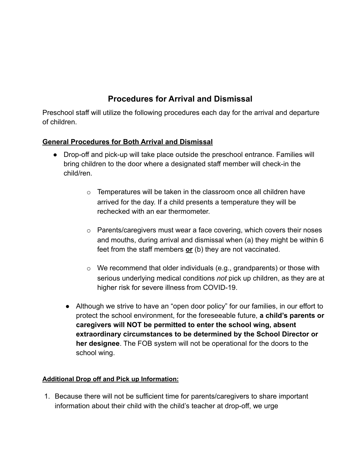# **Procedures for Arrival and Dismissal**

Preschool staff will utilize the following procedures each day for the arrival and departure of children.

## **General Procedures for Both Arrival and Dismissal**

- Drop-off and pick-up will take place outside the preschool entrance. Families will bring children to the door where a designated staff member will check-in the child/ren.
	- $\circ$  Temperatures will be taken in the classroom once all children have arrived for the day. If a child presents a temperature they will be rechecked with an ear thermometer.
	- o Parents/caregivers must wear a face covering, which covers their noses and mouths, during arrival and dismissal when (a) they might be within 6 feet from the staff members **or** (b) they are not vaccinated.
	- $\circ$  We recommend that older individuals (e.g., grandparents) or those with serious underlying medical conditions *not* pick up children, as they are at higher risk for severe illness from COVID-19.
	- Although we strive to have an "open door policy" for our families, in our effort to protect the school environment, for the foreseeable future, **a child's parents or caregivers will NOT be permitted to enter the school wing, absent extraordinary circumstances to be determined by the School Director or her designee**. The FOB system will not be operational for the doors to the school wing.

#### **Additional Drop off and Pick up Information:**

1. Because there will not be sufficient time for parents/caregivers to share important information about their child with the child's teacher at drop-off, we urge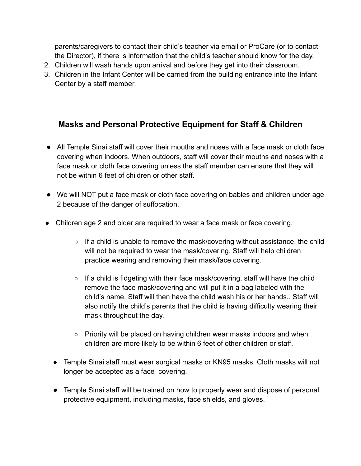parents/caregivers to contact their child's teacher via email or ProCare (or to contact the Director), if there is information that the child's teacher should know for the day.

- 2. Children will wash hands upon arrival and before they get into their classroom.
- 3. Children in the Infant Center will be carried from the building entrance into the Infant Center by a staff member.

# **Masks and Personal Protective Equipment for Staff & Children**

- All Temple Sinai staff will cover their mouths and noses with a face mask or cloth face covering when indoors. When outdoors, staff will cover their mouths and noses with a face mask or cloth face covering unless the staff member can ensure that they will not be within 6 feet of children or other staff.
- We will NOT put a face mask or cloth face covering on babies and children under age 2 because of the danger of suffocation.
- Children age 2 and older are required to wear a face mask or face covering.
	- $\circ$  If a child is unable to remove the mask/covering without assistance, the child will not be required to wear the mask/covering. Staff will help children practice wearing and removing their mask/face covering.
	- $\circ$  If a child is fidgeting with their face mask/covering, staff will have the child remove the face mask/covering and will put it in a bag labeled with the child's name. Staff will then have the child wash his or her hands.. Staff will also notify the child's parents that the child is having difficulty wearing their mask throughout the day.
	- Priority will be placed on having children wear masks indoors and when children are more likely to be within 6 feet of other children or staff.
	- Temple Sinai staff must wear surgical masks or KN95 masks. Cloth masks will not longer be accepted as a face covering.
	- Temple Sinai staff will be trained on how to properly wear and dispose of personal protective equipment, including masks, face shields, and gloves.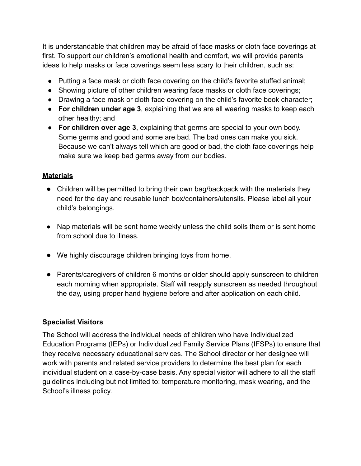It is understandable that children may be afraid of face masks or cloth face coverings at first. To support our children's emotional health and comfort, we will provide parents ideas to help masks or face coverings seem less scary to their children, such as:

- Putting a face mask or cloth face covering on the child's favorite stuffed animal;
- Showing picture of other children wearing face masks or cloth face coverings;
- Drawing a face mask or cloth face covering on the child's favorite book character;
- **For children under age 3**, explaining that we are all wearing masks to keep each other healthy; and
- **For children over age 3**, explaining that germs are special to your own body. Some germs and good and some are bad. The bad ones can make you sick. Because we can't always tell which are good or bad, the cloth face coverings help make sure we keep bad germs away from our bodies.

## **Materials**

- Children will be permitted to bring their own bag/backpack with the materials they need for the day and reusable lunch box/containers/utensils. Please label all your child's belongings.
- Nap materials will be sent home weekly unless the child soils them or is sent home from school due to illness.
- We highly discourage children bringing toys from home.
- Parents/caregivers of children 6 months or older should apply sunscreen to children each morning when appropriate. Staff will reapply sunscreen as needed throughout the day, using proper hand hygiene before and after application on each child.

## **Specialist Visitors**

The School will address the individual needs of children who have Individualized Education Programs (IEPs) or Individualized Family Service Plans (IFSPs) to ensure that they receive necessary educational services. The School director or her designee will work with parents and related service providers to determine the best plan for each individual student on a case-by-case basis. Any special visitor will adhere to all the staff guidelines including but not limited to: temperature monitoring, mask wearing, and the School's illness policy.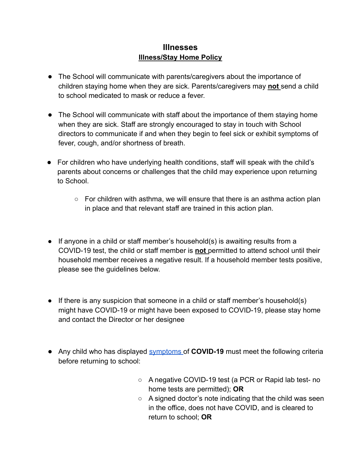## **Illnesses Illness/Stay Home Policy**

- The School will communicate with parents/caregivers about the importance of children staying home when they are sick. Parents/caregivers may **not** send a child to school medicated to mask or reduce a fever.
- The School will communicate with staff about the importance of them staying home when they are sick. Staff are strongly encouraged to stay in touch with School directors to communicate if and when they begin to feel sick or exhibit symptoms of fever, cough, and/or shortness of breath.
- For children who have underlying health conditions, staff will speak with the child's parents about concerns or challenges that the child may experience upon returning to School.
	- $\circ$  For children with asthma, we will ensure that there is an asthma action plan in place and that relevant staff are trained in this action plan.
- If anyone in a child or staff member's household(s) is awaiting results from a COVID-19 test, the child or staff member is **not** permitted to attend school until their household member receives a negative result. If a household member tests positive, please see the guidelines below.
- If there is any suspicion that someone in a child or staff member's household(s) might have COVID-19 or might have been exposed to COVID-19, please stay home and contact the Director or her designee
- Any child who has displayed [symptoms](https://www.cdc.gov/coronavirus/2019-ncov/symptoms-testing/symptoms.html) of **COVID-19** must meet the following criteria before returning to school:
	- A negative COVID-19 test (a PCR or Rapid lab test- no home tests are permitted); **OR**
	- $\circ$  A signed doctor's note indicating that the child was seen in the office, does not have COVID, and is cleared to return to school; **OR**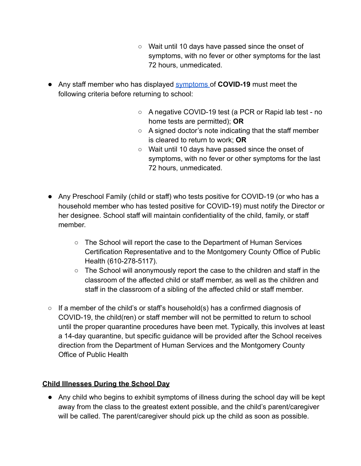- Wait until 10 days have passed since the onset of symptoms, with no fever or other symptoms for the last 72 hours, unmedicated.
- Any staff member who has displayed [symptoms](https://www.cdc.gov/coronavirus/2019-ncov/symptoms-testing/symptoms.html) of **COVID-19** must meet the following criteria before returning to school:
	- A negative COVID-19 test (a PCR or Rapid lab test no home tests are permitted); **OR**
	- A signed doctor's note indicating that the staff member is cleared to return to work; **OR**
	- Wait until 10 days have passed since the onset of symptoms, with no fever or other symptoms for the last 72 hours, unmedicated.
- Any Preschool Family (child or staff) who tests positive for COVID-19 (or who has a household member who has tested positive for COVID-19) must notify the Director or her designee. School staff will maintain confidentiality of the child, family, or staff member.
	- The School will report the case to the Department of Human Services Certification Representative and to the Montgomery County Office of Public Health (610-278-5117).
	- $\circ$  The School will anonymously report the case to the children and staff in the classroom of the affected child or staff member, as well as the children and staff in the classroom of a sibling of the affected child or staff member.
- $\circ$  If a member of the child's or staff's household(s) has a confirmed diagnosis of COVID-19, the child(ren) or staff member will not be permitted to return to school until the proper quarantine procedures have been met. Typically, this involves at least a 14-day quarantine, but specific guidance will be provided after the School receives direction from the Department of Human Services and the Montgomery County Office of Public Health

#### **Child Illnesses During the School Day**

● Any child who begins to exhibit symptoms of illness during the school day will be kept away from the class to the greatest extent possible, and the child's parent/caregiver will be called. The parent/caregiver should pick up the child as soon as possible.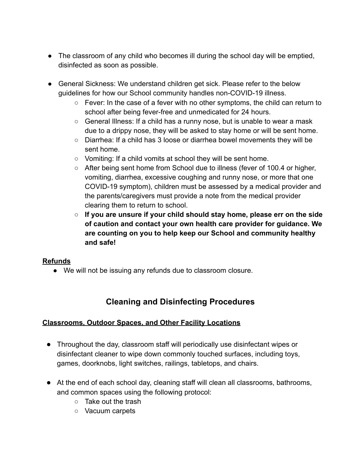- The classroom of any child who becomes ill during the school day will be emptied, disinfected as soon as possible.
- General Sickness: We understand children get sick. Please refer to the below guidelines for how our School community handles non-COVID-19 illness.
	- $\circ$  Fever: In the case of a fever with no other symptoms, the child can return to school after being fever-free and unmedicated for 24 hours.
	- $\circ$  General Illness: If a child has a runny nose, but is unable to wear a mask due to a drippy nose, they will be asked to stay home or will be sent home.
	- Diarrhea: If a child has 3 loose or diarrhea bowel movements they will be sent home.
	- Vomiting: If a child vomits at school they will be sent home.
	- After being sent home from School due to illness (fever of 100.4 or higher, vomiting, diarrhea, excessive coughing and runny nose, or more that one COVID-19 symptom), children must be assessed by a medical provider and the parents/caregivers must provide a note from the medical provider clearing them to return to school.
	- **○ If you are unsure if your child should stay home, please err on the side of caution and contact your own health care provider for guidance. We are counting on you to help keep our School and community healthy and safe!**

#### **Refunds**

● We will not be issuing any refunds due to classroom closure.

# **Cleaning and Disinfecting Procedures**

#### **Classrooms, Outdoor Spaces, and Other Facility Locations**

- Throughout the day, classroom staff will periodically use disinfectant wipes or disinfectant cleaner to wipe down commonly touched surfaces, including toys, games, doorknobs, light switches, railings, tabletops, and chairs.
- At the end of each school day, cleaning staff will clean all classrooms, bathrooms, and common spaces using the following protocol:
	- Take out the trash
	- Vacuum carpets